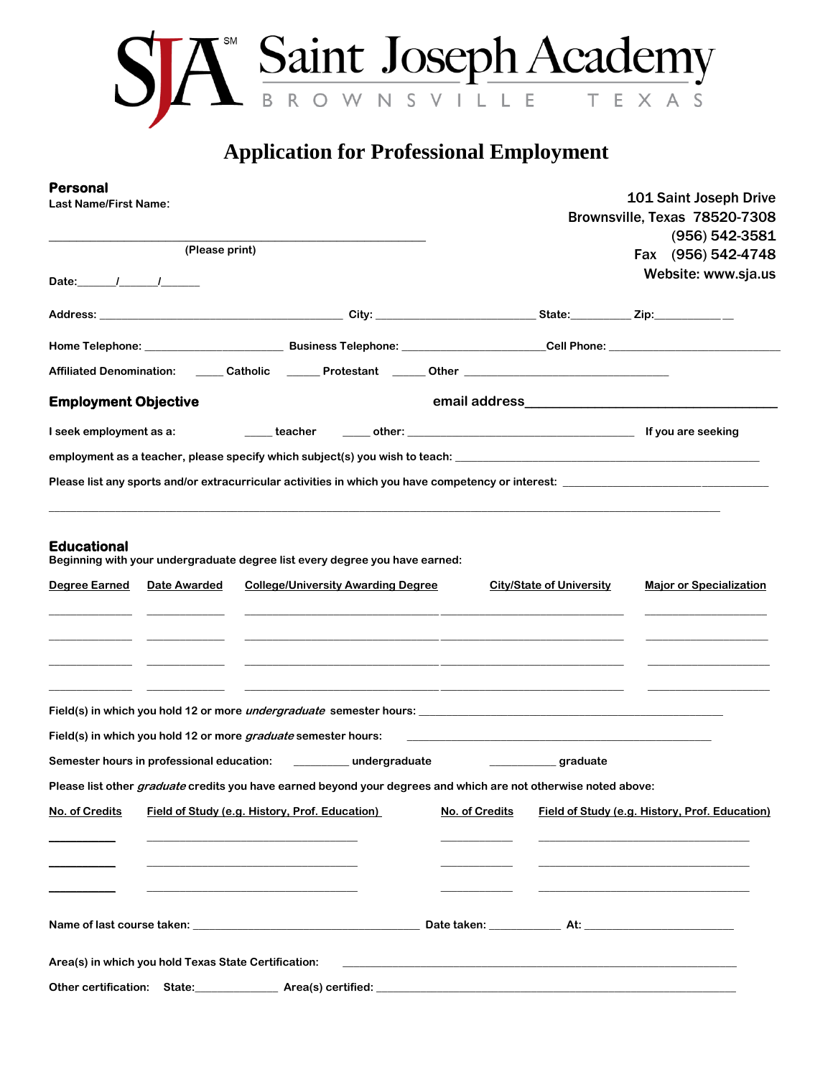

## **Application for Professional Employment**

| Personal<br><b>Last Name/First Name:</b>                                                                        |                                                                                                                                                                                                                                   | 101 Saint Joseph Drive<br>Brownsville, Texas 78520-7308                                                              |                                      |                                                             |  |
|-----------------------------------------------------------------------------------------------------------------|-----------------------------------------------------------------------------------------------------------------------------------------------------------------------------------------------------------------------------------|----------------------------------------------------------------------------------------------------------------------|--------------------------------------|-------------------------------------------------------------|--|
| (Please print)                                                                                                  |                                                                                                                                                                                                                                   |                                                                                                                      | (956) 542-3581<br>Fax (956) 542-4748 |                                                             |  |
| Date: $1 - 1$                                                                                                   |                                                                                                                                                                                                                                   |                                                                                                                      |                                      | Website: www.sja.us                                         |  |
|                                                                                                                 |                                                                                                                                                                                                                                   |                                                                                                                      |                                      |                                                             |  |
|                                                                                                                 |                                                                                                                                                                                                                                   |                                                                                                                      |                                      |                                                             |  |
| Affiliated Denomination: ______Catholic _______Protestant ______ Other ____________________________             |                                                                                                                                                                                                                                   |                                                                                                                      |                                      |                                                             |  |
| <b>Employment Objective</b>                                                                                     |                                                                                                                                                                                                                                   |                                                                                                                      |                                      |                                                             |  |
| I seek employment as a:                                                                                         |                                                                                                                                                                                                                                   |                                                                                                                      |                                      |                                                             |  |
|                                                                                                                 |                                                                                                                                                                                                                                   |                                                                                                                      |                                      |                                                             |  |
| Please list any sports and/or extracurricular activities in which you have competency or interest:              |                                                                                                                                                                                                                                   |                                                                                                                      |                                      |                                                             |  |
|                                                                                                                 |                                                                                                                                                                                                                                   |                                                                                                                      |                                      |                                                             |  |
| Degree Earned Date Awarded                                                                                      | <b>College/University Awarding Degree</b><br><u> 1980 - Jan Barbara, margaretar arteroria (h. 1980).</u><br><u> 1989 - Johann Stoff, deutscher Stoff, der Stoff, der Stoff, der Stoff, der Stoff, der Stoff, der Stoff, der S</u> |                                                                                                                      | <b>City/State of University</b>      | <b>Major or Specialization</b>                              |  |
|                                                                                                                 |                                                                                                                                                                                                                                   |                                                                                                                      |                                      |                                                             |  |
| Field(s) in which you hold 12 or more graduate semester hours:                                                  |                                                                                                                                                                                                                                   |                                                                                                                      |                                      | <u> 1989 - Johann Stoff, amerikansk politiker (d. 1989)</u> |  |
| Semester hours in professional education: ____________ undergraduate                                            |                                                                                                                                                                                                                                   |                                                                                                                      | graduate                             |                                                             |  |
| Please list other graduate credits you have earned beyond your degrees and which are not otherwise noted above: |                                                                                                                                                                                                                                   |                                                                                                                      |                                      |                                                             |  |
| No. of Credits                                                                                                  | Field of Study (e.g. History, Prof. Education)                                                                                                                                                                                    | No. of Credits                                                                                                       |                                      | Field of Study (e.g. History, Prof. Education)              |  |
|                                                                                                                 |                                                                                                                                                                                                                                   |                                                                                                                      |                                      |                                                             |  |
|                                                                                                                 |                                                                                                                                                                                                                                   |                                                                                                                      |                                      |                                                             |  |
|                                                                                                                 |                                                                                                                                                                                                                                   |                                                                                                                      |                                      |                                                             |  |
|                                                                                                                 |                                                                                                                                                                                                                                   |                                                                                                                      |                                      |                                                             |  |
| Area(s) in which you hold Texas State Certification:                                                            |                                                                                                                                                                                                                                   | <u> 2002 - Jan James James James James James James James James James James James James James James James James J</u> |                                      |                                                             |  |
| Other certification: State: Area(s) certified: Area (s) certified:                                              |                                                                                                                                                                                                                                   |                                                                                                                      |                                      |                                                             |  |